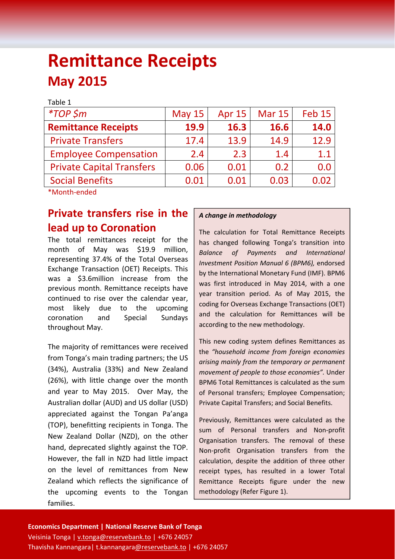# **Remittance Receipts May 2015**

| Table 1                          |          |        |               |                   |
|----------------------------------|----------|--------|---------------|-------------------|
| $*TOP$ \$m                       | May $15$ | Apr 15 | <b>Mar 15</b> | Feb <sub>15</sub> |
| <b>Remittance Receipts</b>       | 19.9     | 16.3   | <b>16.6</b>   | 14.0              |
| <b>Private Transfers</b>         | 17.4     | 13.9   | 14.9          | 12.9              |
| <b>Employee Compensation</b>     | 2.4      | 2.3    | 1.4           | 1.1               |
| <b>Private Capital Transfers</b> | 0.06     | 0.01   | 0.2           | 0.0               |
| <b>Social Benefits</b>           | 0.01     | 0.01   | 0.03          | 0.02              |
|                                  |          |        |               |                   |

\*Month‐ended

# **Private transfers rise in the lead up to Coronation**

The total remittances receipt for the month of May was \$19.9 million, representing 37.4% of the Total Overseas Exchange Transaction (OET) Receipts. This was a \$3.6million increase from the previous month. Remittance receipts have continued to rise over the calendar year, most likely due to the upcoming coronation and Special Sundays throughout May.

The majority of remittances were received from Tonga's main trading partners; the US (34%), Australia (33%) and New Zealand (26%), with little change over the month and year to May 2015. Over May, the Australian dollar (AUD) and US dollar (USD) appreciated against the Tongan Pa'anga (TOP), benefitting recipients in Tonga. The New Zealand Dollar (NZD), on the other hand, deprecated slightly against the TOP. However, the fall in NZD had little impact on the level of remittances from New Zealand which reflects the significance of the upcoming events to the Tongan families.

# *A change in methodology*

The calculation for Total Remittance Receipts has changed following Tonga's transition into *Balance of Payments and International Investment Position Manual 6 (BPM6),* endorsed by the International Monetary Fund (IMF). BPM6 was first introduced in May 2014, with a one year transition period. As of May 2015, the coding for Overseas Exchange Transactions (OET) and the calculation for Remittances will be according to the new methodology.

This new coding system defines Remittances as the *"household income from foreign economies arising mainly from the temporary or permanent movement of people to those economies".* Under BPM6 Total Remittances is calculated as the sum of Personal transfers; Employee Compensation; Private Capital Transfers; and Social Benefits.

Previously, Remittances were calculated as the sum of Personal transfers and Non‐profit Organisation transfers. The removal of these Non‐profit Organisation transfers from the calculation, despite the addition of three other receipt types, has resulted in a lower Total Remittance Receipts figure under the new methodology (Refer Figure 1).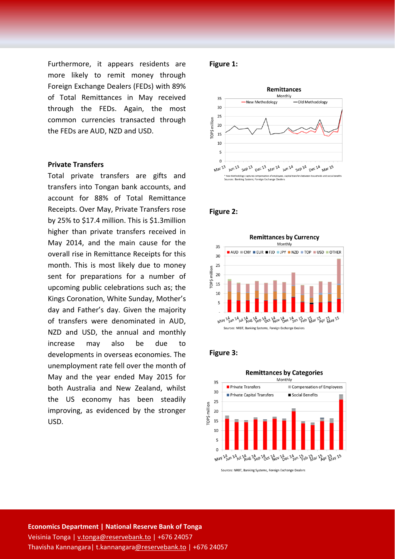Furthermore, it appears residents are more likely to remit money through Foreign Exchange Dealers (FEDs) with 89% of Total Remittances in May received through the FEDs. Again, the most common currencies transacted through the FEDs are AUD, NZD and USD.

#### **Private Transfers**

Total private transfers are gifts and transfers into Tongan bank accounts, and account for 88% of Total Remittance Receipts. Over May, Private Transfers rose by 25% to \$17.4 million. This is \$1.3million higher than private transfers received in May 2014, and the main cause for the overall rise in Remittance Receipts for this month. This is most likely due to money sent for preparations for a number of upcoming public celebrations such as; the Kings Coronation, White Sunday, Mother's day and Father's day. Given the majority of transfers were denominated in AUD, NZD and USD, the annual and monthly increase may also be due to developments in overseas economies. The unemployment rate fell over the month of May and the year ended May 2015 for both Australia and New Zealand, whilst the US economy has been steadily improving, as evidenced by the stronger USD.

# **Figure 1:**



#### **Figure 2:**



### **Figure 3:**



Sources: NRBT, Banking Systems, Foreign Exchange Dealers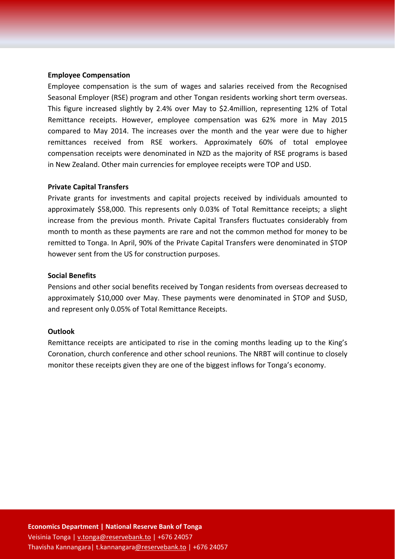#### **Employee Compensation**

Employee compensation is the sum of wages and salaries received from the Recognised Seasonal Employer (RSE) program and other Tongan residents working short term overseas. This figure increased slightly by 2.4% over May to \$2.4million, representing 12% of Total Remittance receipts. However, employee compensation was 62% more in May 2015 compared to May 2014. The increases over the month and the year were due to higher remittances received from RSE workers. Approximately 60% of total employee compensation receipts were denominated in NZD as the majority of RSE programs is based in New Zealand. Other main currencies for employee receipts were TOP and USD.

#### **Private Capital Transfers**

Private grants for investments and capital projects received by individuals amounted to approximately \$58,000. This represents only 0.03% of Total Remittance receipts; a slight increase from the previous month. Private Capital Transfers fluctuates considerably from month to month as these payments are rare and not the common method for money to be remitted to Tonga. In April, 90% of the Private Capital Transfers were denominated in \$TOP however sent from the US for construction purposes.

#### **Social Benefits**

Pensions and other social benefits received by Tongan residents from overseas decreased to approximately \$10,000 over May. These payments were denominated in \$TOP and \$USD, and represent only 0.05% of Total Remittance Receipts.

#### **Outlook**

Remittance receipts are anticipated to rise in the coming months leading up to the King's Coronation, church conference and other school reunions. The NRBT will continue to closely monitor these receipts given they are one of the biggest inflows for Tonga's economy.